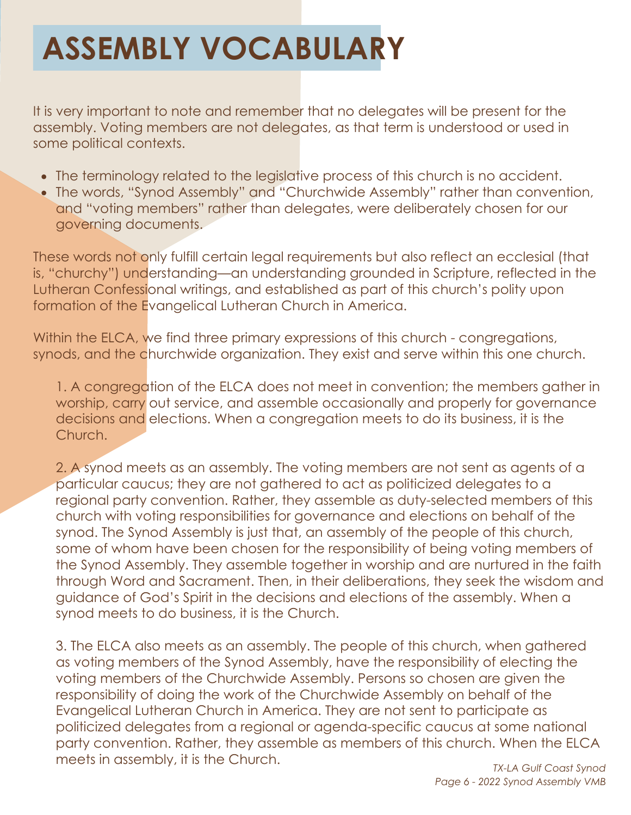## **ASSEMBLY VOCABULARY**

It is very important to note and remember that no delegates will be present for the assembly. Voting members are not delegates, as that term is understood or used in some political contexts.

- The terminology related to the legislative process of this church is no accident.
- The words, "Synod Assembly" and "Churchwide Assembly" rather than convention, and "voting members" rather than delegates, were deliberately chosen for our governing documents.

These words not only fulfill certain legal requirements but also reflect an ecclesial (that is, "churchy") understanding—an understanding grounded in Scripture, reflected in the Lutheran Confessional writings, and established as part of this church's polity upon formation of the Evangelical Lutheran Church in America.

Within the ELCA, we find three primary expressions of this church - congregations, synods, and the churchwide organization. They exist and serve within this one church.

1. A congregation of the ELCA does not meet in convention; the members gather in worship, carry out service, and assemble occasionally and properly for governance decisions and elections. When a congregation meets to do its business, it is the Church.

2. A synod meets as an assembly. The voting members are not sent as agents of a particular caucus; they are not gathered to act as politicized delegates to a regional party convention. Rather, they assemble as duty-selected members of this church with voting responsibilities for governance and elections on behalf of the synod. The Synod Assembly is just that, an assembly of the people of this church, some of whom have been chosen for the responsibility of being voting members of the Synod Assembly. They assemble together in worship and are nurtured in the faith through Word and Sacrament. Then, in their deliberations, they seek the wisdom and guidance of God's Spirit in the decisions and elections of the assembly. When a synod meets to do business, it is the Church.

3. The ELCA also meets as an assembly. The people of this church, when gathered as voting members of the Synod Assembly, have the responsibility of electing the voting members of the Churchwide Assembly. Persons so chosen are given the responsibility of doing the work of the Churchwide Assembly on behalf of the Evangelical Lutheran Church in America. They are not sent to participate as politicized delegates from a regional or agenda-specific caucus at some national party convention. Rather, they assemble as members of this church. When the ELCA meets in assembly, it is the Church.